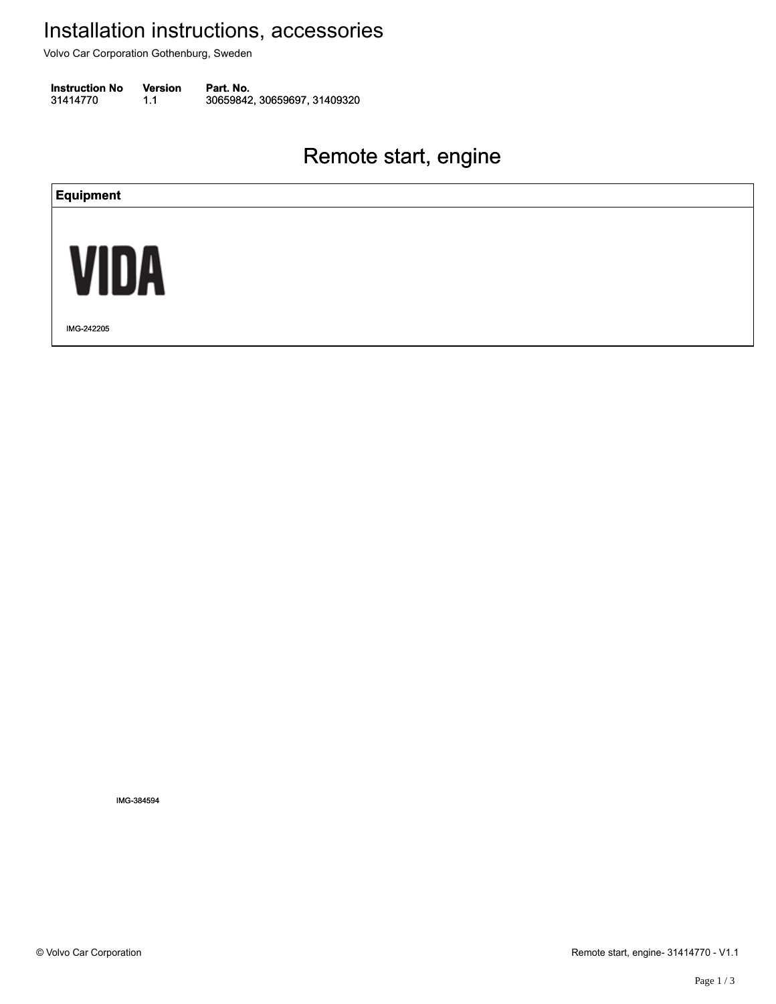Volvo Car Corporation Gothenburg, Sweden

**Instruction No** Version Part. No. 31414770 1.1 30659842, 30659697, 31409320 314147701.130659842, 30659697, 31409320

### Remote start, engine Remote start, engine



IMG-384594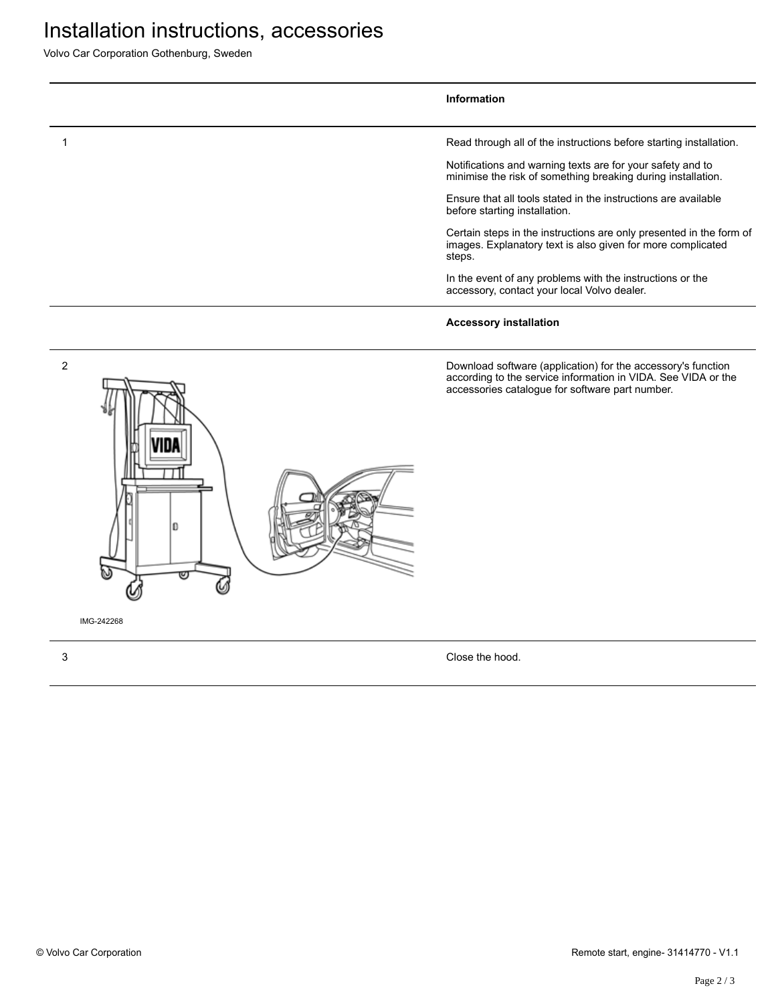# Installation instructions, accessories

Volvo Car Corporation Gothenburg, Sweden

#### **Information** 1 Read through all of the instructions before starting installation. Notifications and warning texts are for your safety and to minimise the risk of something breaking during installation. Ensure that all tools stated in the instructions are available before starting installation. Certain steps in the instructions are only presented in the form of images. Explanatory text is also given for more complicated steps. In the event of any problems with the instructions or the accessory, contact your local Volvo dealer. **Accessory installation**





IMG-242268

3 Close the hood.